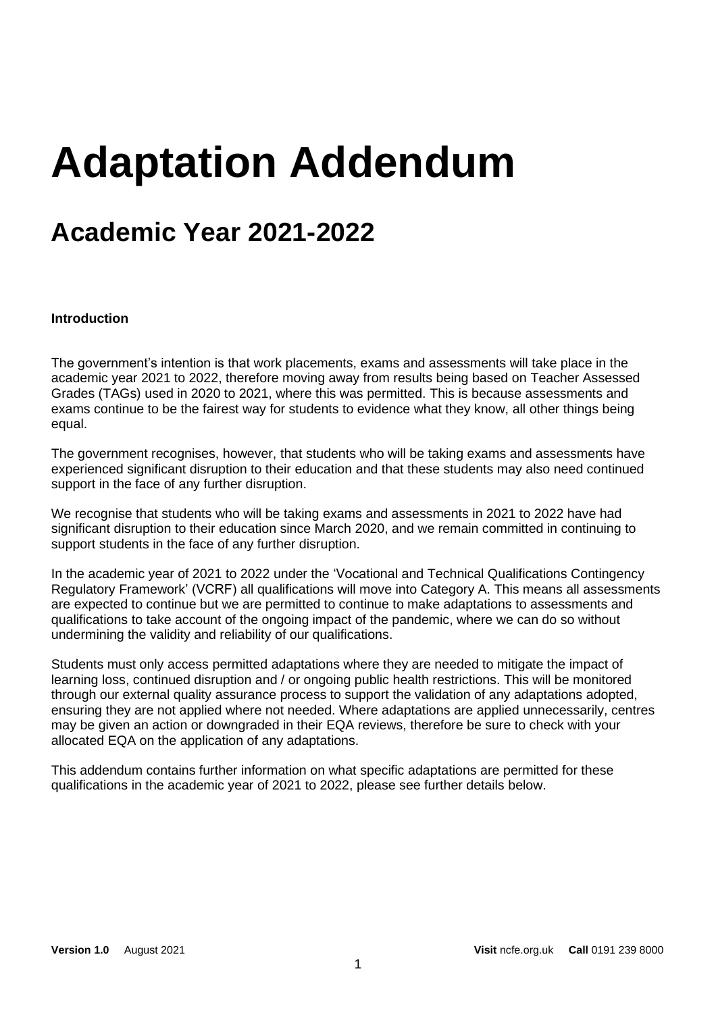# **Adaptation Addendum**

# **Academic Year 2021-2022**

## **Introduction**

The government's intention is that work placements, exams and assessments will take place in the academic year 2021 to 2022, therefore moving away from results being based on Teacher Assessed Grades (TAGs) used in 2020 to 2021, where this was permitted. This is because assessments and exams continue to be the fairest way for students to evidence what they know, all other things being equal.

The government recognises, however, that students who will be taking exams and assessments have experienced significant disruption to their education and that these students may also need continued support in the face of any further disruption.

We recognise that students who will be taking exams and assessments in 2021 to 2022 have had significant disruption to their education since March 2020, and we remain committed in continuing to support students in the face of any further disruption.

In the academic year of 2021 to 2022 under the 'Vocational and Technical Qualifications Contingency Regulatory Framework' (VCRF) all qualifications will move into Category A. This means all assessments are expected to continue but we are permitted to continue to make adaptations to assessments and qualifications to take account of the ongoing impact of the pandemic, where we can do so without undermining the validity and reliability of our qualifications.

Students must only access permitted adaptations where they are needed to mitigate the impact of learning loss, continued disruption and / or ongoing public health restrictions. This will be monitored through our external quality assurance process to support the validation of any adaptations adopted, ensuring they are not applied where not needed. Where adaptations are applied unnecessarily, centres may be given an action or downgraded in their EQA reviews, therefore be sure to check with your allocated EQA on the application of any adaptations.

This addendum contains further information on what specific adaptations are permitted for these qualifications in the academic year of 2021 to 2022, please see further details below.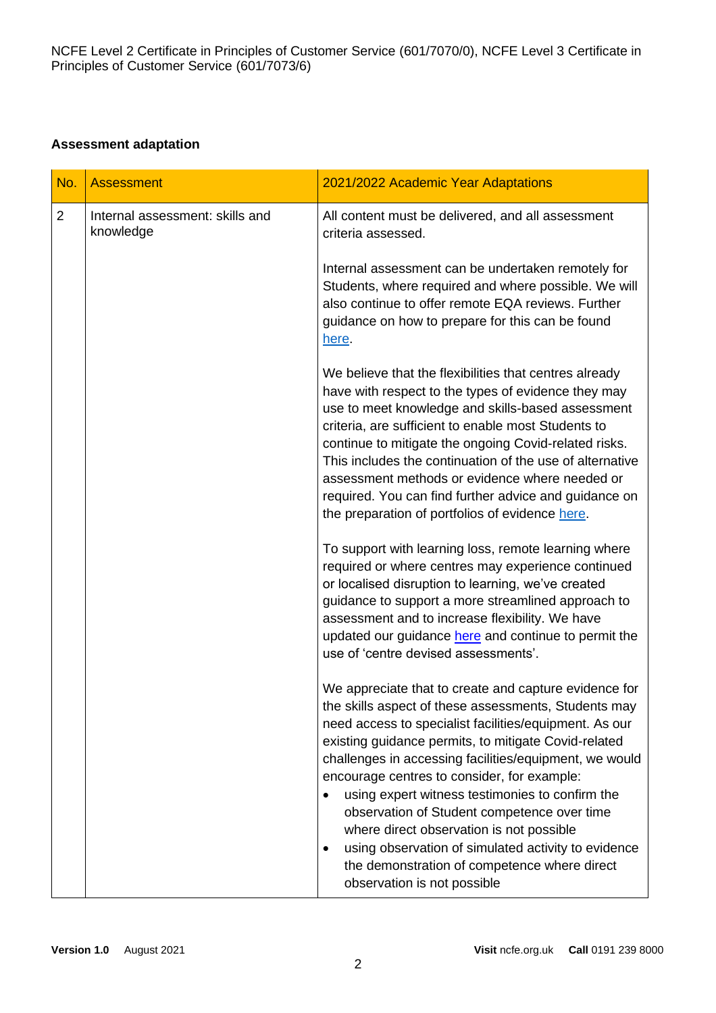# **Assessment adaptation**

| No.            | <b>Assessment</b>                            | 2021/2022 Academic Year Adaptations                                                                                                                                                                                                                                                                                                                                                                                                                                                                                                                                                                                                                    |
|----------------|----------------------------------------------|--------------------------------------------------------------------------------------------------------------------------------------------------------------------------------------------------------------------------------------------------------------------------------------------------------------------------------------------------------------------------------------------------------------------------------------------------------------------------------------------------------------------------------------------------------------------------------------------------------------------------------------------------------|
| $\overline{2}$ | Internal assessment: skills and<br>knowledge | All content must be delivered, and all assessment<br>criteria assessed.                                                                                                                                                                                                                                                                                                                                                                                                                                                                                                                                                                                |
|                |                                              | Internal assessment can be undertaken remotely for<br>Students, where required and where possible. We will<br>also continue to offer remote EQA reviews. Further<br>guidance on how to prepare for this can be found<br>here.                                                                                                                                                                                                                                                                                                                                                                                                                          |
|                |                                              | We believe that the flexibilities that centres already<br>have with respect to the types of evidence they may<br>use to meet knowledge and skills-based assessment<br>criteria, are sufficient to enable most Students to<br>continue to mitigate the ongoing Covid-related risks.<br>This includes the continuation of the use of alternative<br>assessment methods or evidence where needed or<br>required. You can find further advice and guidance on<br>the preparation of portfolios of evidence here.                                                                                                                                           |
|                |                                              | To support with learning loss, remote learning where<br>required or where centres may experience continued<br>or localised disruption to learning, we've created<br>guidance to support a more streamlined approach to<br>assessment and to increase flexibility. We have<br>updated our guidance here and continue to permit the<br>use of 'centre devised assessments'.                                                                                                                                                                                                                                                                              |
|                |                                              | We appreciate that to create and capture evidence for<br>the skills aspect of these assessments, Students may<br>need access to specialist facilities/equipment. As our<br>existing guidance permits, to mitigate Covid-related<br>challenges in accessing facilities/equipment, we would<br>encourage centres to consider, for example:<br>using expert witness testimonies to confirm the<br>$\bullet$<br>observation of Student competence over time<br>where direct observation is not possible<br>using observation of simulated activity to evidence<br>$\bullet$<br>the demonstration of competence where direct<br>observation is not possible |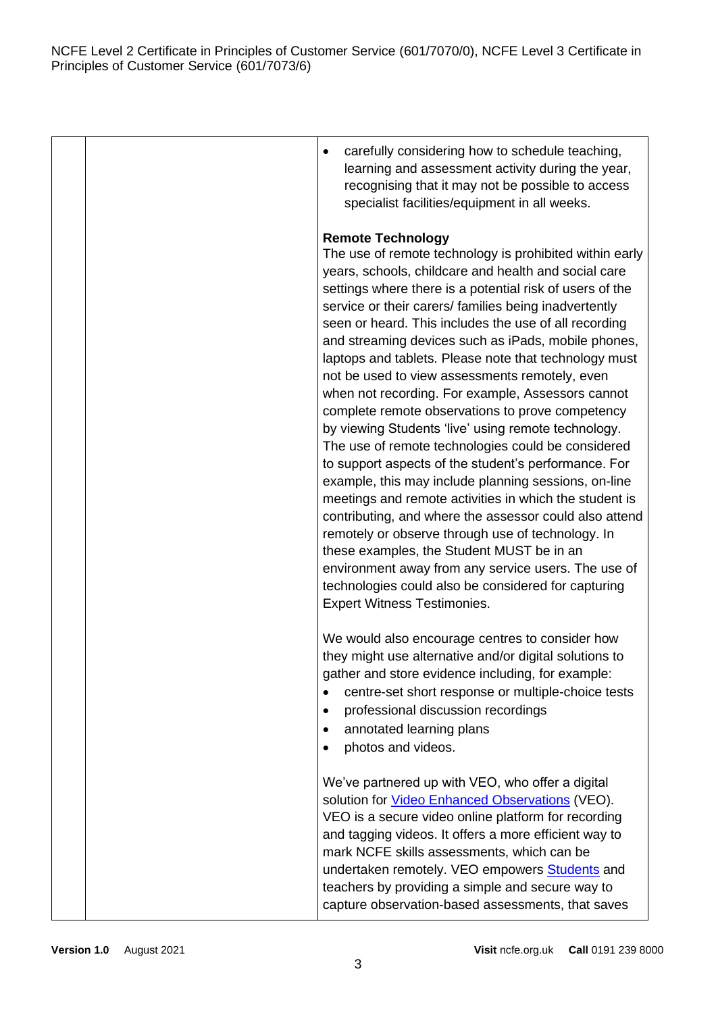NCFE Level 2 Certificate in Principles of Customer Service (601/7070/0), NCFE Level 3 Certificate in Principles of Customer Service (601/7073/6)

|  | carefully considering how to schedule teaching,<br>$\bullet$<br>learning and assessment activity during the year,<br>recognising that it may not be possible to access<br>specialist facilities/equipment in all weeks.                                                                                                                                                                                                                                                                                                                                                                                                                                                                                                                                                                                                                                                                                                                                                                                                                                                                                                                                                                                     |
|--|-------------------------------------------------------------------------------------------------------------------------------------------------------------------------------------------------------------------------------------------------------------------------------------------------------------------------------------------------------------------------------------------------------------------------------------------------------------------------------------------------------------------------------------------------------------------------------------------------------------------------------------------------------------------------------------------------------------------------------------------------------------------------------------------------------------------------------------------------------------------------------------------------------------------------------------------------------------------------------------------------------------------------------------------------------------------------------------------------------------------------------------------------------------------------------------------------------------|
|  | <b>Remote Technology</b><br>The use of remote technology is prohibited within early<br>years, schools, childcare and health and social care<br>settings where there is a potential risk of users of the<br>service or their carers/ families being inadvertently<br>seen or heard. This includes the use of all recording<br>and streaming devices such as iPads, mobile phones,<br>laptops and tablets. Please note that technology must<br>not be used to view assessments remotely, even<br>when not recording. For example, Assessors cannot<br>complete remote observations to prove competency<br>by viewing Students 'live' using remote technology.<br>The use of remote technologies could be considered<br>to support aspects of the student's performance. For<br>example, this may include planning sessions, on-line<br>meetings and remote activities in which the student is<br>contributing, and where the assessor could also attend<br>remotely or observe through use of technology. In<br>these examples, the Student MUST be in an<br>environment away from any service users. The use of<br>technologies could also be considered for capturing<br><b>Expert Witness Testimonies.</b> |
|  | We would also encourage centres to consider how<br>they might use alternative and/or digital solutions to<br>gather and store evidence including, for example:<br>centre-set short response or multiple-choice tests<br>professional discussion recordings<br>annotated learning plans<br>٠<br>photos and videos.                                                                                                                                                                                                                                                                                                                                                                                                                                                                                                                                                                                                                                                                                                                                                                                                                                                                                           |
|  | We've partnered up with VEO, who offer a digital<br>solution for <b>Video Enhanced Observations</b> (VEO).<br>VEO is a secure video online platform for recording<br>and tagging videos. It offers a more efficient way to<br>mark NCFE skills assessments, which can be<br>undertaken remotely. VEO empowers Students and<br>teachers by providing a simple and secure way to<br>capture observation-based assessments, that saves                                                                                                                                                                                                                                                                                                                                                                                                                                                                                                                                                                                                                                                                                                                                                                         |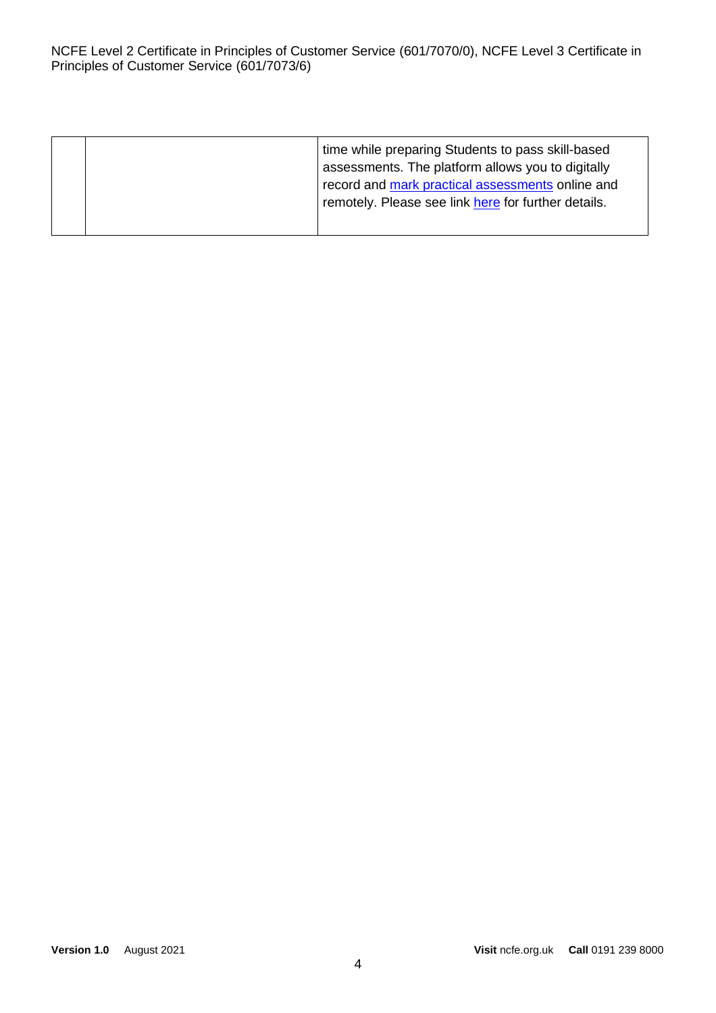|  | time while preparing Students to pass skill-based<br>assessments. The platform allows you to digitally<br>record and mark practical assessments online and<br>remotely. Please see link here for further details. |
|--|-------------------------------------------------------------------------------------------------------------------------------------------------------------------------------------------------------------------|
|  |                                                                                                                                                                                                                   |